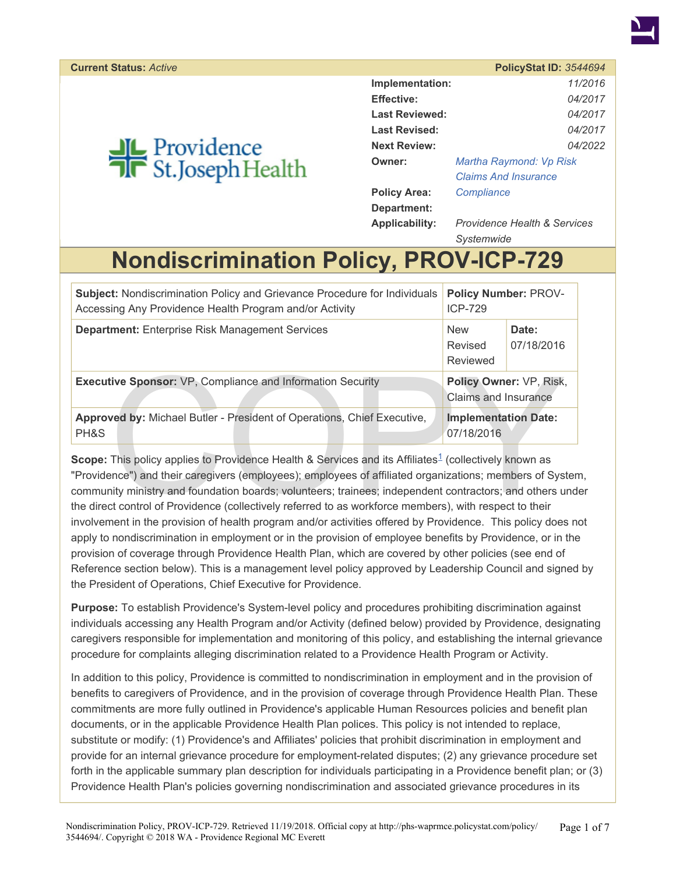# <span id="page-0-0"></span>**JL** Providence<br>**T**R St.Joseph Health

|                       | $F$ UIIUYULGI ID. JJ $TTU$ J $T$        |
|-----------------------|-----------------------------------------|
| Implementation:       | 11/2016                                 |
| <b>Effective:</b>     | 04/2017                                 |
| <b>Last Reviewed:</b> | 04/2017                                 |
| <b>Last Revised:</b>  | 04/2017                                 |
| <b>Next Review:</b>   | 04/2022                                 |
| <b>Owner:</b>         | Martha Raymond: Vp Risk                 |
|                       | <b>Claims And Insurance</b>             |
| <b>Policy Area:</b>   | Compliance                              |
| Department:           |                                         |
| <b>Applicability:</b> | <b>Providence Health &amp; Services</b> |

*Systemwide*

## **Nondiscrimination Policy, PROV-ICP-729**

| <b>Subject: Nondiscrimination Policy and Grievance Procedure for Individuals</b><br>Accessing Any Providence Health Program and/or Activity                                                                                                                                                                                                                                                                                                                                                                                                                              | <b>Policy Number: PROV-</b><br><b>ICP-729</b> |                         |
|--------------------------------------------------------------------------------------------------------------------------------------------------------------------------------------------------------------------------------------------------------------------------------------------------------------------------------------------------------------------------------------------------------------------------------------------------------------------------------------------------------------------------------------------------------------------------|-----------------------------------------------|-------------------------|
| <b>Department:</b> Enterprise Risk Management Services                                                                                                                                                                                                                                                                                                                                                                                                                                                                                                                   | <b>New</b><br>Revised<br>Reviewed             | Date:<br>07/18/2016     |
| <b>Executive Sponsor: VP, Compliance and Information Security</b>                                                                                                                                                                                                                                                                                                                                                                                                                                                                                                        | Claims and Insurance                          | Policy Owner: VP, Risk, |
| Approved by: Michael Butler - President of Operations, Chief Executive,<br>PH&S                                                                                                                                                                                                                                                                                                                                                                                                                                                                                          | <b>Implementation Date:</b><br>07/18/2016     |                         |
| <b>Scope:</b> This policy applies to Providence Health & Services and its Affiliates <sup>1</sup> (collectively known as<br>"Providence") and their caregivers (employees); employees of affiliated organizations; members of Syster<br>community ministry and foundation boards; volunteers; trainees; independent contractors; and others und<br>the direct control of Providence (collectively referred to as workforce members), with respect to their<br>involvement in the provision of health program and/or activities offered by Providence. This policy does n |                                               |                         |

Scope: This policy applies to Providence Health & Services and its Affiliates<sup>1</sup> (collectively known as "Providence") and their caregivers (employees); employees of affiliated organizations; members of System, community ministry and foundation boards; volunteers; trainees; independent contractors; and others under the direct control of Providence (collectively referred to as workforce members), with respect to their involvement in the provision of health program and/or activities offered by Providence. This policy does not apply to nondiscrimination in employment or in the provision of employee benefits by Providence, or in the provision of coverage through Providence Health Plan, which are covered by other policies (see end of Reference section below). This is a management level policy approved by Leadership Council and signed by the President of Operations, Chief Executive for Providence.

**Purpose:** To establish Providence's System-level policy and procedures prohibiting discrimination against individuals accessing any Health Program and/or Activity (defined below) provided by Providence, designating caregivers responsible for implementation and monitoring of this policy, and establishing the internal grievance procedure for complaints alleging discrimination related to a Providence Health Program or Activity.

In addition to this policy, Providence is committed to nondiscrimination in employment and in the provision of benefits to caregivers of Providence, and in the provision of coverage through Providence Health Plan. These commitments are more fully outlined in Providence's applicable Human Resources policies and benefit plan documents, or in the applicable Providence Health Plan polices. This policy is not intended to replace, substitute or modify: (1) Providence's and Affiliates' policies that prohibit discrimination in employment and provide for an internal grievance procedure for employment-related disputes; (2) any grievance procedure set forth in the applicable summary plan description for individuals participating in a Providence benefit plan; or (3) Providence Health Plan's policies governing nondiscrimination and associated grievance procedures in its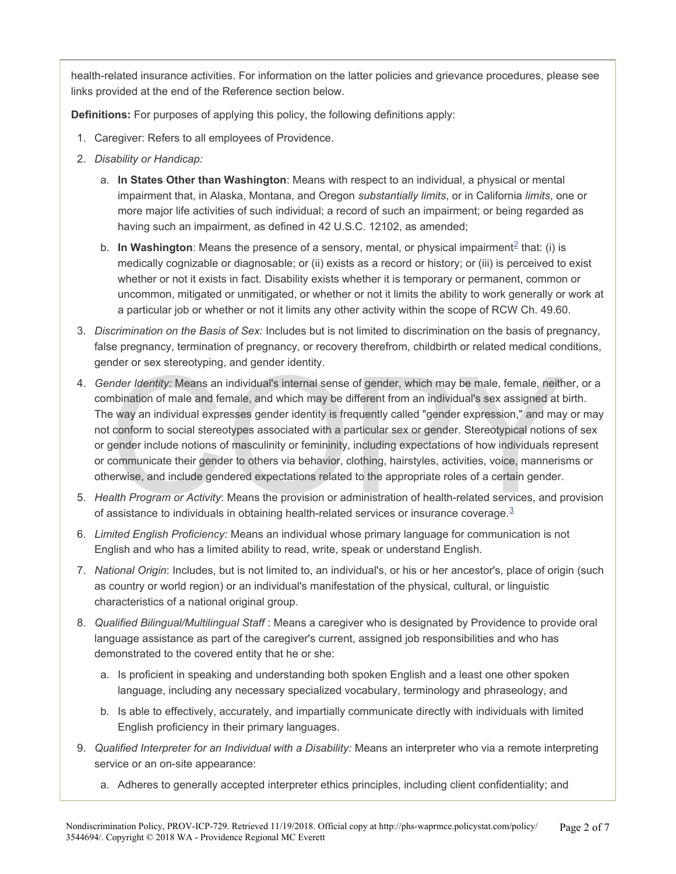health-related insurance activities. For information on the latter policies and grievance procedures, please see links provided at the end of the Reference section below.

**Definitions:** For purposes of applying this policy, the following definitions apply:

- 1. Caregiver: Refers to all employees of Providence.
- 2. *Disability or Handicap:*
	- a. **In States Other than Washington**: Means with respect to an individual, a physical or mental impairment that, in Alaska, Montana, and Oregon *substantially limits*, or in California *limits*, one or more major life activities of such individual; a record of such an impairment; or being regarded as having such an impairment, as defined in 42 U.S.C. 12102, as amended;
	- b. In Washington: Means the presence of a sensory, mental, or physical impairment<sup>2</sup> that: (i) is medically cognizable or diagnosable; or (ii) exists as a record or history; or (iii) is perceived to exist whether or not it exists in fact. Disability exists whether it is temporary or permanent, common or uncommon, mitigated or unmitigated, or whether or not it limits the ability to work generally or work at a particular job or whether or not it limits any other activity within the scope of RCW Ch. 49.60.
- 3. *Discrimination on the Basis of Sex:* Includes but is not limited to discrimination on the basis of pregnancy, false pregnancy, termination of pregnancy, or recovery therefrom, childbirth or related medical conditions, gender or sex stereotyping, and gender identity.
- nder Identity: Means an individual's internal sense of gender, which may be male, female, neith<br>mbination of male and female, and which may be different from an individual's sex assigned at t<br>e way an individual expresses 4. *Gender Identity:* Means an individual's internal sense of gender, which may be male, female, neither, or a combination of male and female, and which may be different from an individual's sex assigned at birth. The way an individual expresses gender identity is frequently called "gender expression," and may or may not conform to social stereotypes associated with a particular sex or gender. Stereotypical notions of sex or gender include notions of masculinity or femininity, including expectations of how individuals represent or communicate their gender to others via behavior, clothing, hairstyles, activities, voice, mannerisms or otherwise, and include gendered expectations related to the appropriate roles of a certain gender.
- 5. *Health Program or Activity*: Means the provision or administration of health-related services, and provision of assistance to individuals in obtaining health-related services or insurance coverage. $3$
- 6. *Limited English Proficiency:* Means an individual whose primary language for communication is not English and who has a limited ability to read, write, speak or understand English.
- 7. *National Origin*: Includes, but is not limited to, an individual's, or his or her ancestor's, place of origin (such as country or world region) or an individual's manifestation of the physical, cultural, or linguistic characteristics of a national original group.
- 8. *Qualified Bilingual/Multilingual Staff* : Means a caregiver who is designated by Providence to provide oral language assistance as part of the caregiver's current, assigned job responsibilities and who has demonstrated to the covered entity that he or she:
	- a. Is proficient in speaking and understanding both spoken English and a least one other spoken language, including any necessary specialized vocabulary, terminology and phraseology, and
	- b. Is able to effectively, accurately, and impartially communicate directly with individuals with limited English proficiency in their primary languages.
- 9. *Qualified Interpreter for an Individual with a Disability:* Means an interpreter who via a remote interpreting service or an on-site appearance:
	- a. Adheres to generally accepted interpreter ethics principles, including client confidentiality; and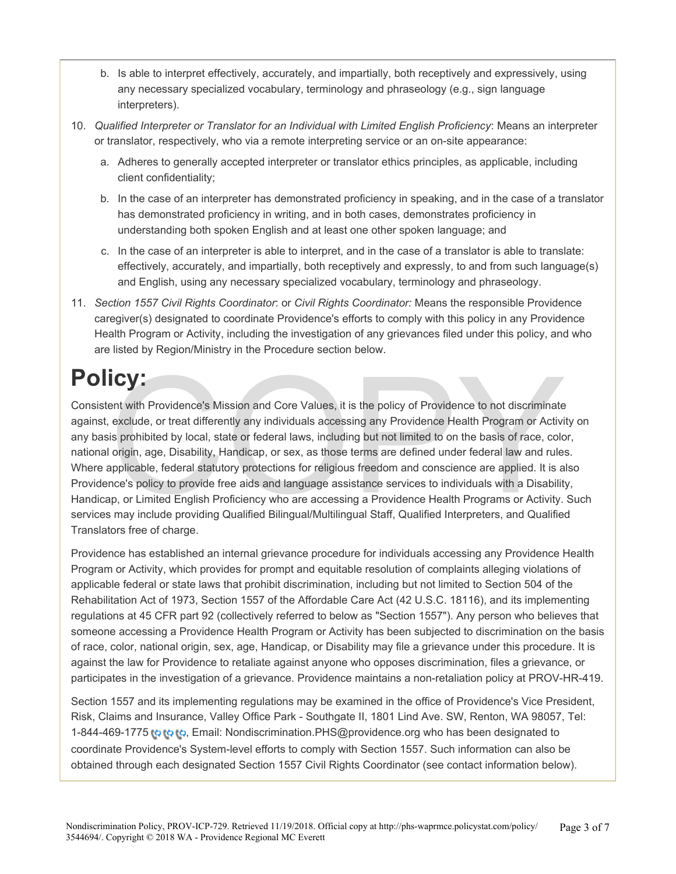- b. Is able to interpret effectively, accurately, and impartially, both receptively and expressively, using any necessary specialized vocabulary, terminology and phraseology (e.g., sign language interpreters).
- 10. *Qualified Interpreter or Translator for an Individual with Limited English Proficiency*: Means an interpreter or translator, respectively, who via a remote interpreting service or an on-site appearance:
	- a. Adheres to generally accepted interpreter or translator ethics principles, as applicable, including client confidentiality;
	- b. In the case of an interpreter has demonstrated proficiency in speaking, and in the case of a translator has demonstrated proficiency in writing, and in both cases, demonstrates proficiency in understanding both spoken English and at least one other spoken language; and
	- c. In the case of an interpreter is able to interpret, and in the case of a translator is able to translate: effectively, accurately, and impartially, both receptively and expressly, to and from such language(s) and English, using any necessary specialized vocabulary, terminology and phraseology.
- 11. *Section 1557 Civil Rights Coordinator*: or *Civil Rights Coordinator:* Means the responsible Providence caregiver(s) designated to coordinate Providence's efforts to comply with this policy in any Providence Health Program or Activity, including the investigation of any grievances filed under this policy, and who are listed by Region/Ministry in the Procedure section below.

# **Policy:**

**COV:**<br>
ent with Providence's Mission and Core Values, it is the policy of Providence to not discriminate<br>
exclude, or treat differently any individuals accessing any Providence Health Program or Activi<br>
is prohibited by l Consistent with Providence's Mission and Core Values, it is the policy of Providence to not discriminate against, exclude, or treat differently any individuals accessing any Providence Health Program or Activity on any basis prohibited by local, state or federal laws, including but not limited to on the basis of race, color, national origin, age, Disability, Handicap, or sex, as those terms are defined under federal law and rules. Where applicable, federal statutory protections for religious freedom and conscience are applied. It is also Providence's policy to provide free aids and language assistance services to individuals with a Disability, Handicap, or Limited English Proficiency who are accessing a Providence Health Programs or Activity. Such services may include providing Qualified Bilingual/Multilingual Staff, Qualified Interpreters, and Qualified Translators free of charge.

Providence has established an internal grievance procedure for individuals accessing any Providence Health Program or Activity, which provides for prompt and equitable resolution of complaints alleging violations of applicable federal or state laws that prohibit discrimination, including but not limited to Section 504 of the Rehabilitation Act of 1973, Section 1557 of the Affordable Care Act (42 U.S.C. 18116), and its implementing regulations at 45 CFR part 92 (collectively referred to below as "Section 1557"). Any person who believes that someone accessing a Providence Health Program or Activity has been subjected to discrimination on the basis of race, color, national origin, sex, age, Handicap, or Disability may file a grievance under this procedure. It is against the law for Providence to retaliate against anyone who opposes discrimination, files a grievance, or participates in the investigation of a grievance. Providence maintains a non-retaliation policy at PROV-HR-419.

Section 1557 and its implementing regulations may be examined in the office of Providence's Vice President, Risk, Claims and Insurance, Valley Office Park - Southgate II, 1801 Lind Ave. SW, Renton, WA 98057, Tel: 1-844-469-1775 to to Email: Nondiscrimination.PHS@providence.org who has been designated to coordinate Providence's System-level efforts to comply with Section 1557. Such information can also be obtained through each designated Section 1557 Civil Rights Coordinator (see contact information below).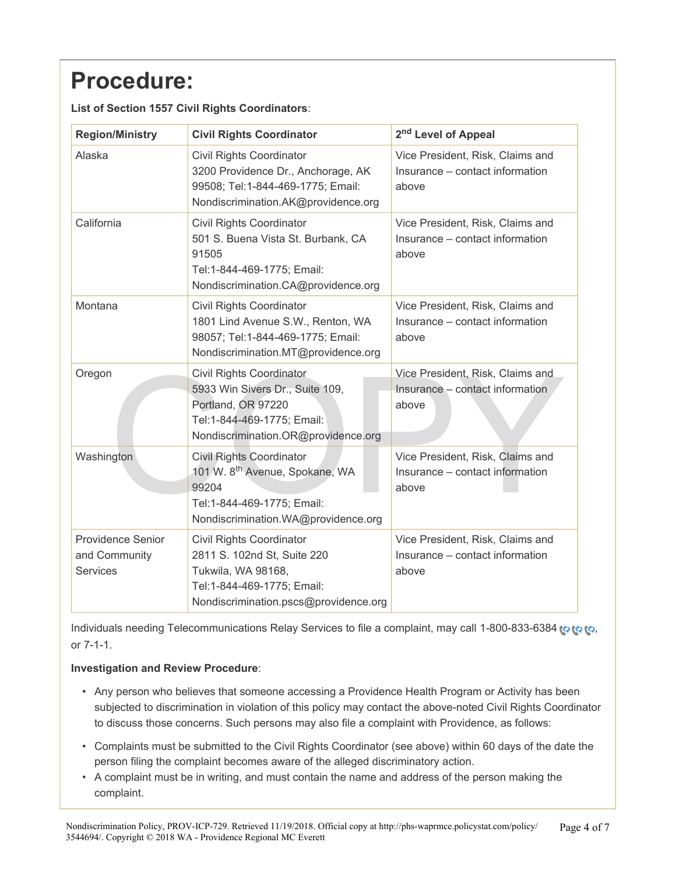# **Procedure:**

| <b>Region/Ministry</b>                                       | <b>Civil Rights Coordinator</b>                                                                                                                               | 2 <sup>nd</sup> Level of Appeal                                              |
|--------------------------------------------------------------|---------------------------------------------------------------------------------------------------------------------------------------------------------------|------------------------------------------------------------------------------|
| Alaska                                                       | <b>Civil Rights Coordinator</b><br>3200 Providence Dr., Anchorage, AK<br>99508; Tel:1-844-469-1775; Email:<br>Nondiscrimination.AK@providence.org             | Vice President, Risk, Claims and<br>Insurance – contact information<br>above |
| California                                                   | <b>Civil Rights Coordinator</b><br>501 S. Buena Vista St. Burbank, CA<br>91505<br>Tel:1-844-469-1775; Email:<br>Nondiscrimination.CA@providence.org           | Vice President, Risk, Claims and<br>Insurance – contact information<br>above |
| Montana                                                      | <b>Civil Rights Coordinator</b><br>1801 Lind Avenue S.W., Renton, WA<br>98057; Tel:1-844-469-1775; Email:<br>Nondiscrimination.MT@providence.org              | Vice President, Risk, Claims and<br>Insurance – contact information<br>above |
| Oregon                                                       | <b>Civil Rights Coordinator</b><br>5933 Win Sivers Dr., Suite 109,<br>Portland, OR 97220<br>Tel:1-844-469-1775; Email:<br>Nondiscrimination.OR@providence.org | Vice President, Risk, Claims and<br>Insurance - contact information<br>above |
| Washington                                                   | <b>Civil Rights Coordinator</b><br>101 W. 8 <sup>th</sup> Avenue, Spokane, WA<br>99204<br>Tel:1-844-469-1775; Email:<br>Nondiscrimination.WA@providence.org   | Vice President, Risk, Claims and<br>Insurance - contact information<br>above |
| <b>Providence Senior</b><br>and Community<br><b>Services</b> | <b>Civil Rights Coordinator</b><br>2811 S. 102nd St, Suite 220<br>Tukwila, WA 98168,<br>Tel:1-844-469-1775; Email:<br>Nondiscrimination.pscs@providence.org   | Vice President, Risk, Claims and<br>Insurance - contact information<br>above |

**List of Section 1557 Civil Rights Coordinators**:

Individuals needing Telecommunications Relay Services to file a complaint[,](#page-0-0) may call 1-800-833-6384 to to to, or 7-1-1.

#### **Investigation and Review Procedure**:

- Any person who believes that someone accessing a Providence Health Program or Activity has been subjected to discrimination in violation of this policy may contact the above-noted Civil Rights Coordinator to discuss those concerns. Such persons may also file a complaint with Providence, as follows:
- Complaints must be submitted to the Civil Rights Coordinator (see above) within 60 days of the date the person filing the complaint becomes aware of the alleged discriminatory action.
- A complaint must be in writing, and must contain the name and address of the person making the complaint.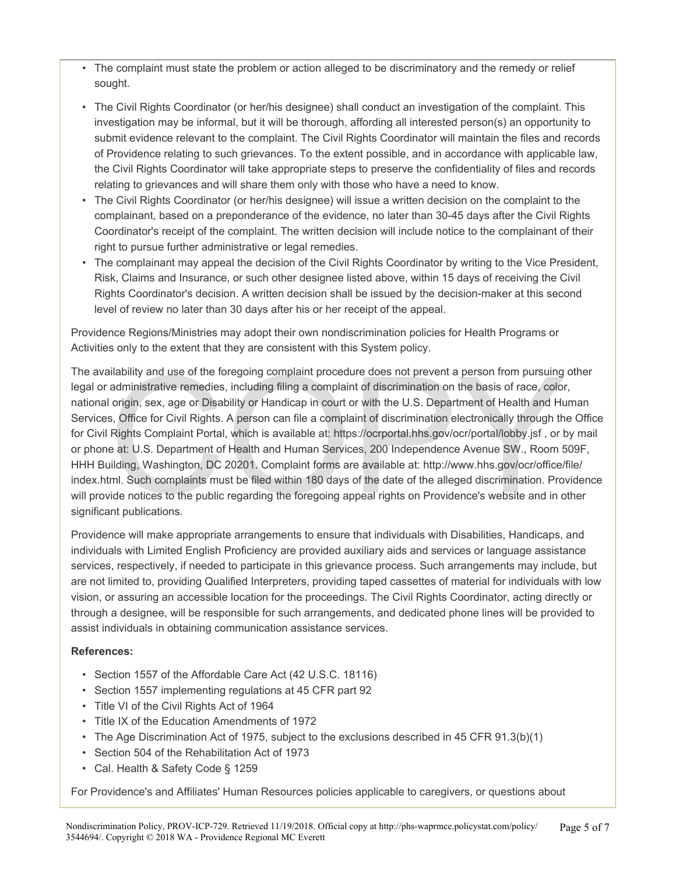- The complaint must state the problem or action alleged to be discriminatory and the remedy or relief sought.
- The Civil Rights Coordinator (or her/his designee) shall conduct an investigation of the complaint. This investigation may be informal, but it will be thorough, affording all interested person(s) an opportunity to submit evidence relevant to the complaint. The Civil Rights Coordinator will maintain the files and records of Providence relating to such grievances. To the extent possible, and in accordance with applicable law, the Civil Rights Coordinator will take appropriate steps to preserve the confidentiality of files and records relating to grievances and will share them only with those who have a need to know.
- The Civil Rights Coordinator (or her/his designee) will issue a written decision on the complaint to the complainant, based on a preponderance of the evidence, no later than 30-45 days after the Civil Rights Coordinator's receipt of the complaint. The written decision will include notice to the complainant of their right to pursue further administrative or legal remedies.
- The complainant may appeal the decision of the Civil Rights Coordinator by writing to the Vice President, Risk, Claims and Insurance, or such other designee listed above, within 15 days of receiving the Civil Rights Coordinator's decision. A written decision shall be issued by the decision-maker at this second level of review no later than 30 days after his or her receipt of the appeal.

Providence Regions/Ministries may adopt their own nondiscrimination policies for Health Programs or Activities only to the extent that they are consistent with this System policy.

ilability and use of the foregoing complaint procedure does not prevent a person from pursuing<br>administrative remedies, including filing a complaint of discrimination on the basis of race, color<br>origin, sex, age or Disabil The availability and use of the foregoing complaint procedure does not prevent a person from pursuing other legal or administrative remedies, including filing a complaint of discrimination on the basis of race, color, national origin, sex, age or Disability or Handicap in court or with the U.S. Department of Health and Human Services, Office for Civil Rights. A person can file a complaint of discrimination electronically through the Office for Civil Rights Complaint Portal, which is available at: https://ocrportal.hhs.gov/ocr/portal/lobby.jsf , or by mail or phone at: U.S. Department of Health and Human Services, 200 Independence Avenue SW., Room 509F, HHH Building, Washington, DC 20201. Complaint forms are available at: http://www.hhs.gov/ocr/office/file/ index.html. Such complaints must be filed within 180 days of the date of the alleged discrimination. Providence will provide notices to the public regarding the foregoing appeal rights on Providence's website and in other significant publications.

Providence will make appropriate arrangements to ensure that individuals with Disabilities, Handicaps, and individuals with Limited English Proficiency are provided auxiliary aids and services or language assistance services, respectively, if needed to participate in this grievance process. Such arrangements may include, but are not limited to, providing Qualified Interpreters, providing taped cassettes of material for individuals with low vision, or assuring an accessible location for the proceedings. The Civil Rights Coordinator, acting directly or through a designee, will be responsible for such arrangements, and dedicated phone lines will be provided to assist individuals in obtaining communication assistance services.

#### **References:**

- Section 1557 of the Affordable Care Act (42 U.S.C. 18116)
- Section 1557 implementing regulations at 45 CFR part 92
- Title VI of the Civil Rights Act of 1964
- Title IX of the Education Amendments of 1972
- The Age Discrimination Act of 1975, subject to the exclusions described in 45 CFR 91.3(b)(1)
- Section 504 of the Rehabilitation Act of 1973
- Cal. Health & Safety Code § 1259

For Providence's and Affiliates' Human Resources policies applicable to caregivers, or questions about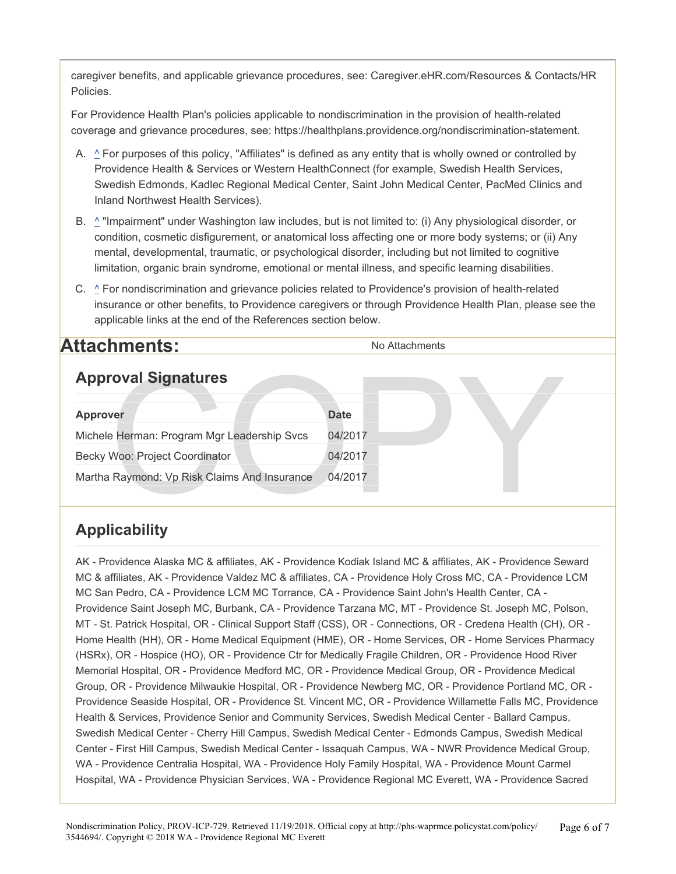caregiver benefits, and applicable grievance procedures, see: Caregiver.eHR.com/Resources & Contacts/HR Policies.

For Providence Health Plan's policies applicable to nondiscrimination in the provision of health-related coverage and grievance procedures, see: https://healthplans.providence.org/nondiscrimination-statement.

- A. ^ For purposes of this policy, "Affiliates" is defined as any entity that is wholly owned or controlled by Providence Health & Services or Western HealthConnect (for example, Swedish Health Services, Swedish Edmonds, Kadlec Regional Medical Center, Saint John Medical Center, PacMed Clinics and Inland Northwest Health Services).
- B. ^ "Impairment" under Washington law includes, but is not limited to: (i) Any physiological disorder, or condition, cosmetic disfigurement, or anatomical loss affecting one or more body systems; or (ii) Any mental, developmental, traumatic, or psychological disorder, including but not limited to cognitive limitation, organic brain syndrome, emotional or mental illness, and specific learning disabilities.
- C.  $\triangle$  For nondiscrimination and grievance policies related to Providence's provision of health-related insurance or other benefits, to Providence caregivers or through Providence Health Plan, please see the applicable links at the end of the References section below.

### **Attachments:** No Attachments

### **Approval Signatures**

| <b>Approval Signatures</b>                   |             |  |
|----------------------------------------------|-------------|--|
| <b>Approver</b>                              | <b>Date</b> |  |
| Michele Herman: Program Mgr Leadership Svcs  | 04/2017     |  |
| Becky Woo: Project Coordinator               | 04/2017     |  |
| Martha Raymond: Vp Risk Claims And Insurance | 04/2017     |  |

### **Applicability**

AK - Providence Alaska MC & affiliates, AK - Providence Kodiak Island MC & affiliates, AK - Providence Seward MC & affiliates, AK - Providence Valdez MC & affiliates, CA - Providence Holy Cross MC, CA - Providence LCM MC San Pedro, CA - Providence LCM MC Torrance, CA - Providence Saint John's Health Center, CA - Providence Saint Joseph MC, Burbank, CA - Providence Tarzana MC, MT - Providence St. Joseph MC, Polson, MT - St. Patrick Hospital, OR - Clinical Support Staff (CSS), OR - Connections, OR - Credena Health (CH), OR - Home Health (HH), OR - Home Medical Equipment (HME), OR - Home Services, OR - Home Services Pharmacy (HSRx), OR - Hospice (HO), OR - Providence Ctr for Medically Fragile Children, OR - Providence Hood River Memorial Hospital, OR - Providence Medford MC, OR - Providence Medical Group, OR - Providence Medical Group, OR - Providence Milwaukie Hospital, OR - Providence Newberg MC, OR - Providence Portland MC, OR - Providence Seaside Hospital, OR - Providence St. Vincent MC, OR - Providence Willamette Falls MC, Providence Health & Services, Providence Senior and Community Services, Swedish Medical Center - Ballard Campus, Swedish Medical Center - Cherry Hill Campus, Swedish Medical Center - Edmonds Campus, Swedish Medical Center - First Hill Campus, Swedish Medical Center - Issaquah Campus, WA - NWR Providence Medical Group, WA - Providence Centralia Hospital, WA - Providence Holy Family Hospital, WA - Providence Mount Carmel Hospital, WA - Providence Physician Services, WA - Providence Regional MC Everett, WA - Providence Sacred